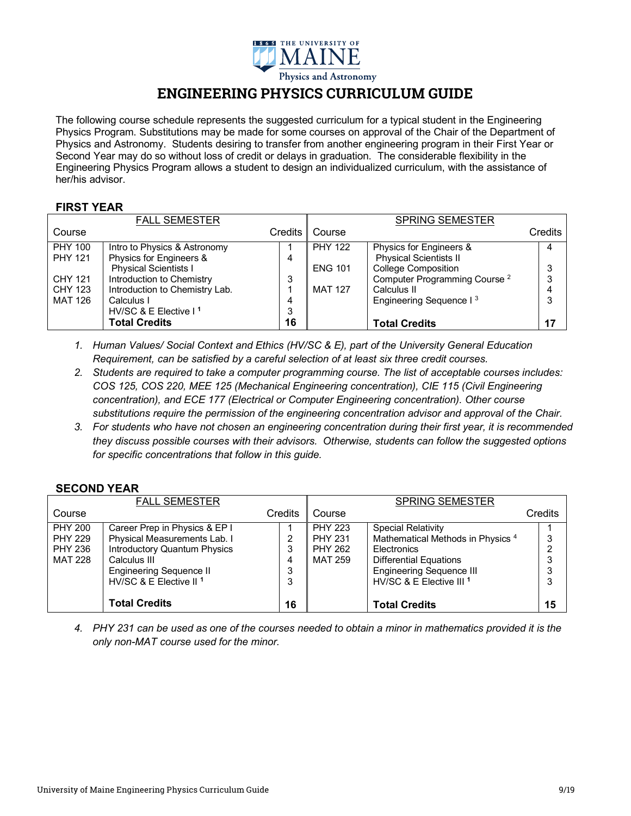

# **ENGINEERING PHYSICS CURRICULUM GUIDE**

The following course schedule represents the suggested curriculum for a typical student in the Engineering Physics Program. Substitutions may be made for some courses on approval of the Chair of the Department of Physics and Astronomy. Students desiring to transfer from another engineering program in their First Year or Second Year may do so without loss of credit or delays in graduation. The considerable flexibility in the Engineering Physics Program allows a student to design an individualized curriculum, with the assistance of her/his advisor.

## **FIRST YEAR**

|                | <b>FALL SEMESTER</b>              |         |                | <b>SPRING SEMESTER</b>                   |         |
|----------------|-----------------------------------|---------|----------------|------------------------------------------|---------|
| Course         |                                   | Credits | Course         |                                          | Credits |
| <b>PHY 100</b> | Intro to Physics & Astronomy      |         | <b>PHY 122</b> | Physics for Engineers &                  | 4       |
| <b>PHY 121</b> | Physics for Engineers &           | 4       |                | <b>Physical Scientists II</b>            |         |
|                | <b>Physical Scientists I</b>      |         | <b>ENG 101</b> | <b>College Composition</b>               | 3       |
| <b>CHY 121</b> | Introduction to Chemistry         | 3       |                | Computer Programming Course <sup>2</sup> | 3       |
| <b>CHY 123</b> | Introduction to Chemistry Lab.    |         | <b>MAT 127</b> | Calculus II                              |         |
| MAT 126        | Calculus I                        | 4       |                | Engineering Sequence I <sup>3</sup>      | 3       |
|                | HV/SC & E Elective I <sup>1</sup> | ۰J      |                |                                          |         |
|                | <b>Total Credits</b>              | 16      |                | <b>Total Credits</b>                     | 17      |

- *1. Human Values/ Social Context and Ethics (HV/SC & E), part of the University General Education Requirement, can be satisfied by a careful selection of at least six three credit courses.*
- *2. Students are required to take a computer programming course. The list of acceptable courses includes: COS 125, COS 220, MEE 125 (Mechanical Engineering concentration), CIE 115 (Civil Engineering concentration), and ECE 177 (Electrical or Computer Engineering concentration). Other course substitutions require the permission of the engineering concentration advisor and approval of the Chair.*
- *3. For students who have not chosen an engineering concentration during their first year, it is recommended they discuss possible courses with their advisors. Otherwise, students can follow the suggested options for specific concentrations that follow in this guide.*

## **SECOND YEAR**

| Credits                                      |
|----------------------------------------------|
|                                              |
| Mathematical Methods in Physics <sup>4</sup> |
| 15                                           |
|                                              |

*4. PHY 231 can be used as one of the courses needed to obtain a minor in mathematics provided it is the only non-MAT course used for the minor.*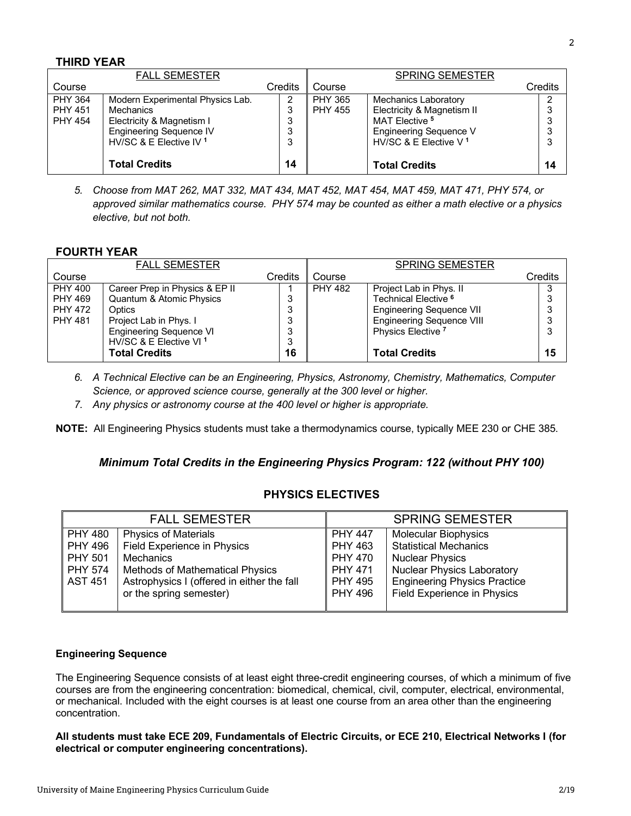## **THIRD YEAR**

|                | <b>FALL SEMESTER</b>               |         |                | <b>SPRING SEMESTER</b>            |         |    |
|----------------|------------------------------------|---------|----------------|-----------------------------------|---------|----|
| Course         |                                    | Credits | Course         |                                   | Credits |    |
| <b>PHY 364</b> | Modern Experimental Physics Lab.   | 2       | <b>PHY 365</b> | Mechanics Laboratory              |         | ົ  |
| <b>PHY 451</b> | Mechanics                          | 3       | <b>PHY 455</b> | Electricity & Magnetism II        |         | చ  |
| <b>PHY 454</b> | Electricity & Magnetism I          | 3       |                | MAT Elective <sup>5</sup>         |         |    |
|                | <b>Engineering Sequence IV</b>     | 3       |                | Engineering Sequence V            |         | 3  |
|                | HV/SC & E Elective IV <sup>1</sup> | 3       |                | HV/SC & E Elective V <sup>1</sup> |         | 3  |
|                |                                    |         |                |                                   |         |    |
|                | <b>Total Credits</b>               | 14      |                | <b>Total Credits</b>              |         | 14 |

*5. Choose from MAT 262, MAT 332, MAT 434, MAT 452, MAT 454, MAT 459, MAT 471, PHY 574, or approved similar mathematics course. PHY 574 may be counted as either a math elective or a physics elective, but not both.*

## **FOURTH YEAR**

|                | <b>FALL SEMESTER</b>               |         |                | <b>SPRING SEMESTER</b>           |         |
|----------------|------------------------------------|---------|----------------|----------------------------------|---------|
| Course         |                                    | Credits | Course         |                                  | Credits |
| <b>PHY 400</b> | Career Prep in Physics & EP II     |         | <b>PHY 482</b> | Project Lab in Phys. II          |         |
| <b>PHY 469</b> | Quantum & Atomic Physics           | ິ       |                | Technical Elective <sup>6</sup>  |         |
| <b>PHY 472</b> | Optics                             | 3       |                | Engineering Sequence VII         |         |
| <b>PHY 481</b> | Project Lab in Phys. I             | 3       |                | <b>Engineering Sequence VIII</b> | 3       |
|                | <b>Engineering Sequence VI</b>     | 3       |                | Physics Elective <sup>7</sup>    |         |
|                | HV/SC & E Elective VI <sup>1</sup> | っ<br>د  |                |                                  |         |
|                | <b>Total Credits</b>               | 16      |                | <b>Total Credits</b>             | 15      |

- *6. A Technical Elective can be an Engineering, Physics, Astronomy, Chemistry, Mathematics, Computer Science, or approved science course, generally at the 300 level or higher.*
- *7. Any physics or astronomy course at the 400 level or higher is appropriate.*

**NOTE:** All Engineering Physics students must take a thermodynamics course, typically MEE 230 or CHE 385.

## *Minimum Total Credits in the Engineering Physics Program: 122 (without PHY 100)*

## **PHYSICS ELECTIVES**

|                | <b>FALL SEMESTER</b>                       |                | <b>SPRING SEMESTER</b>              |
|----------------|--------------------------------------------|----------------|-------------------------------------|
| <b>PHY 480</b> | <b>Physics of Materials</b>                | <b>PHY 447</b> | <b>Molecular Biophysics</b>         |
| <b>PHY 496</b> | <b>Field Experience in Physics</b>         | PHY 463        | <b>Statistical Mechanics</b>        |
| PHY 501        | Mechanics                                  | <b>PHY 470</b> | <b>Nuclear Physics</b>              |
| PHY 574        | <b>Methods of Mathematical Physics</b>     | <b>PHY 471</b> | <b>Nuclear Physics Laboratory</b>   |
| <b>AST 451</b> | Astrophysics I (offered in either the fall | <b>PHY 495</b> | <b>Engineering Physics Practice</b> |
|                | or the spring semester)                    | <b>PHY 496</b> | <b>Field Experience in Physics</b>  |
|                |                                            |                |                                     |

#### **Engineering Sequence**

The Engineering Sequence consists of at least eight three-credit engineering courses, of which a minimum of five courses are from the engineering concentration: biomedical, chemical, civil, computer, electrical, environmental, or mechanical. Included with the eight courses is at least one course from an area other than the engineering concentration.

**All students must take ECE 209, Fundamentals of Electric Circuits, or ECE 210, Electrical Networks I (for electrical or computer engineering concentrations).**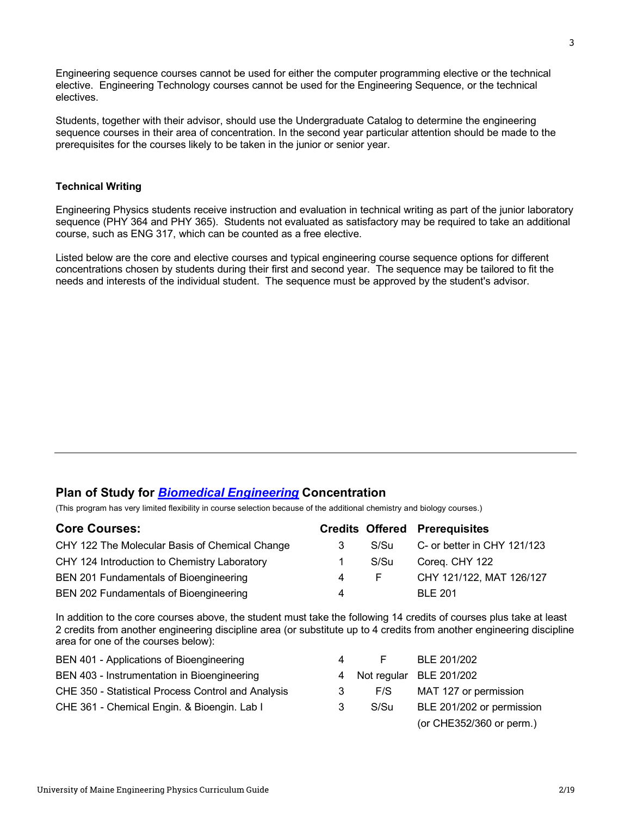Engineering sequence courses cannot be used for either the computer programming elective or the technical elective. Engineering Technology courses cannot be used for the Engineering Sequence, or the technical electives.

Students, together with their advisor, should use the Undergraduate Catalog to determine the engineering sequence courses in their area of concentration. In the second year particular attention should be made to the prerequisites for the courses likely to be taken in the junior or senior year.

## **Technical Writing**

Engineering Physics students receive instruction and evaluation in technical writing as part of the junior laboratory sequence (PHY 364 and PHY 365). Students not evaluated as satisfactory may be required to take an additional course, such as ENG 317, which can be counted as a free elective.

Listed below are the core and elective courses and typical engineering course sequence options for different concentrations chosen by students during their first and second year. The sequence may be tailored to fit the needs and interests of the individual student. The sequence must be approved by the student's advisor.

# **Plan of Study for** *Biomedical Engineering* **Concentration**

(This program has very limited flexibility in course selection because of the additional chemistry and biology courses.)

| <b>Core Courses:</b>                           |             |      | <b>Credits Offered Prerequisites</b> |
|------------------------------------------------|-------------|------|--------------------------------------|
| CHY 122 The Molecular Basis of Chemical Change | 3           | S/Su | C- or better in CHY 121/123          |
| CHY 124 Introduction to Chemistry Laboratory   | $\mathbf 1$ | S/Su | Coreq. CHY 122                       |
| BEN 201 Fundamentals of Bioengineering         | 4           | E.   | CHY 121/122, MAT 126/127             |
| BEN 202 Fundamentals of Bioengineering         | 4           |      | <b>BLE 201</b>                       |

In addition to the core courses above, the student must take the following 14 credits of courses plus take at least 2 credits from another engineering discipline area (or substitute up to 4 credits from another engineering discipline area for one of the courses below):

| BEN 401 - Applications of Bioengineering           | 4 |      | BLE 201/202               |
|----------------------------------------------------|---|------|---------------------------|
| BEN 403 - Instrumentation in Bioengineering        |   |      | 4 Not regular BLE 201/202 |
| CHE 350 - Statistical Process Control and Analysis | 3 | F/S  | MAT 127 or permission     |
| CHE 361 - Chemical Engin. & Bioengin. Lab I        | 3 | S/Su | BLE 201/202 or permission |
|                                                    |   |      | (or CHE352/360 or perm.)  |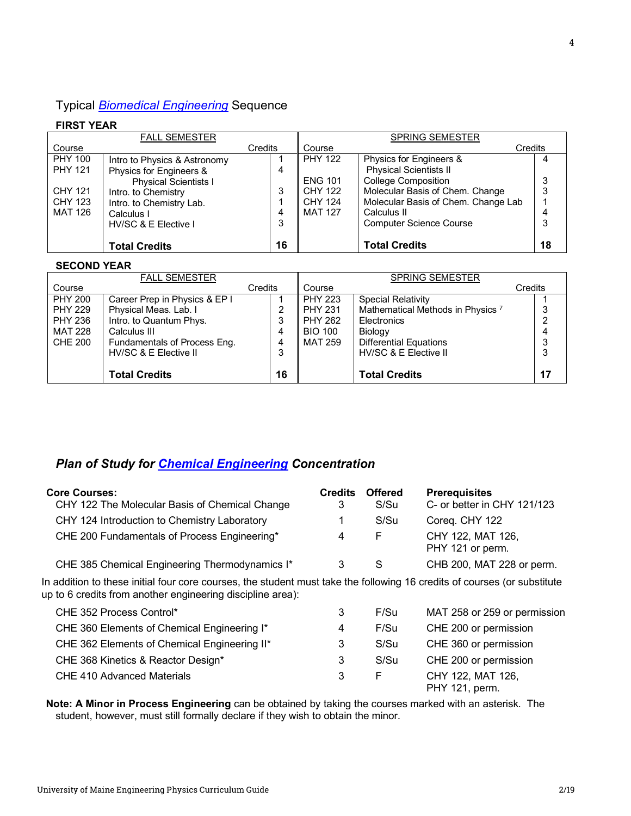# Typical *Biomedical Engineering* Sequence

## **FIRST YEAR**

|                | <b>FALL SEMESTER</b>         |         |                | <b>SPRING SEMESTER</b>              |    |
|----------------|------------------------------|---------|----------------|-------------------------------------|----|
| Course         |                              | Credits | Course         | Credits                             |    |
| <b>PHY 100</b> | Intro to Physics & Astronomy |         | <b>PHY 122</b> | Physics for Engineers &             |    |
| <b>PHY 121</b> | Physics for Engineers &      | 4       |                | <b>Physical Scientists II</b>       |    |
|                | <b>Physical Scientists I</b> |         | <b>ENG 101</b> | <b>College Composition</b>          |    |
| <b>CHY 121</b> | Intro. to Chemistry          | 3       | CHY 122        | Molecular Basis of Chem. Change     |    |
| CHY 123        | Intro. to Chemistry Lab.     |         | <b>CHY 124</b> | Molecular Basis of Chem. Change Lab |    |
| <b>MAT 126</b> | Calculus I                   | 4       | <b>MAT 127</b> | Calculus II                         |    |
|                | HV/SC & E Elective I         | 3       |                | <b>Computer Science Course</b>      |    |
|                |                              |         |                |                                     |    |
|                | <b>Total Credits</b>         | 16      |                | <b>Total Credits</b>                | 18 |

### **SECOND YEAR**

| <b>FALL SEMESTER</b> |                               |         |                | <b>SPRING SEMESTER</b>                       |         |
|----------------------|-------------------------------|---------|----------------|----------------------------------------------|---------|
| Course               |                               | Credits | Course         |                                              | Credits |
| <b>PHY 200</b>       | Career Prep in Physics & EP I |         | <b>PHY 223</b> | <b>Special Relativity</b>                    |         |
| <b>PHY 229</b>       | Physical Meas. Lab. I         | 2       | <b>PHY 231</b> | Mathematical Methods in Physics <sup>7</sup> | 3       |
| <b>PHY 236</b>       | Intro. to Quantum Phys.       | 3       | <b>PHY 262</b> | Electronics                                  |         |
| <b>MAT 228</b>       | Calculus III                  | 4       | <b>BIO 100</b> | Biology                                      |         |
| <b>CHE 200</b>       | Fundamentals of Process Eng.  | 4       | <b>MAT 259</b> | <b>Differential Equations</b>                | 3       |
|                      | HV/SC & E Elective II         | 3       |                | HV/SC & E Elective II                        | 3       |
|                      |                               |         |                |                                              |         |
|                      | <b>Total Credits</b>          | 16      |                | <b>Total Credits</b>                         | 17      |

# *Plan of Study for Chemical Engineering Concentration*

| <b>Core Courses:</b><br>CHY 122 The Molecular Basis of Chemical Change                                                                                                                 | <b>Credits</b><br>3 | <b>Offered</b><br>S/Su | <b>Prerequisites</b><br>C- or better in CHY 121/123 |
|----------------------------------------------------------------------------------------------------------------------------------------------------------------------------------------|---------------------|------------------------|-----------------------------------------------------|
| CHY 124 Introduction to Chemistry Laboratory                                                                                                                                           |                     | S/Su                   | Coreq. CHY 122                                      |
| CHE 200 Fundamentals of Process Engineering*                                                                                                                                           | 4                   | F                      | CHY 122, MAT 126,<br>PHY 121 or perm.               |
| CHE 385 Chemical Engineering Thermodynamics I*                                                                                                                                         | 3                   | S                      | CHB 200, MAT 228 or perm.                           |
| In addition to these initial four core courses, the student must take the following 16 credits of courses (or substitute<br>up to 6 credits from another engineering discipline area): |                     |                        |                                                     |
| CHE 352 Process Control*                                                                                                                                                               | 3                   | F/Su                   | MAT 258 or 259 or permission                        |
| CHE 360 Elements of Chemical Engineering I*                                                                                                                                            | 4                   | F/Su                   | CHE 200 or permission                               |
| CHE 362 Elements of Chemical Engineering II*                                                                                                                                           | 3                   | S/Su                   | CHE 360 or permission                               |
| CHE 368 Kinetics & Reactor Design*                                                                                                                                                     | 3                   | S/Su                   | CHE 200 or permission                               |
| CHE 410 Advanced Materials                                                                                                                                                             | 3                   | F                      | CHY 122, MAT 126,<br>PHY 121, perm.                 |

**Note: A Minor in Process Engineering** can be obtained by taking the courses marked with an asterisk. The student, however, must still formally declare if they wish to obtain the minor.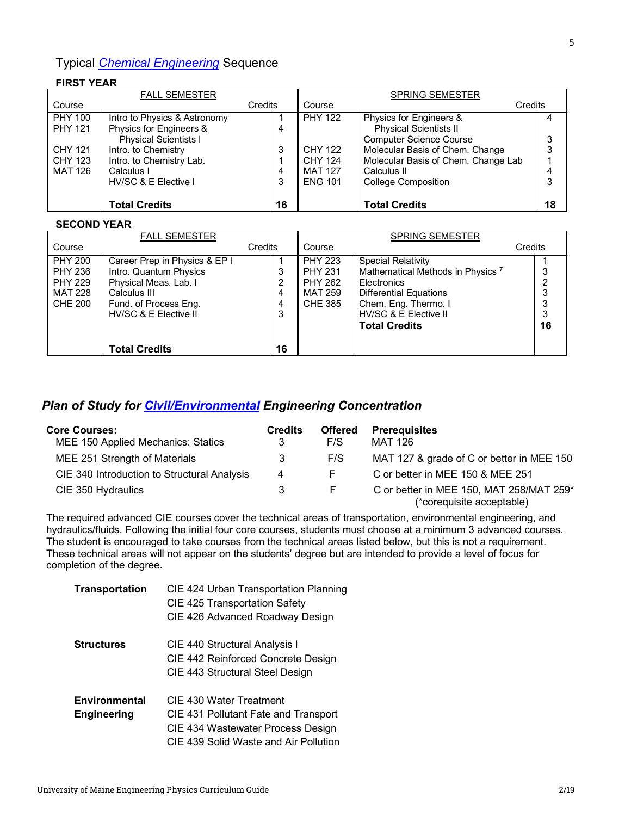# Typical *Chemical Engineering* Sequence

## **FIRST YEAR**

| <b>FALL SEMESTER</b> |                              |    | <b>SPRING SEMESTER</b> |                                     |    |  |
|----------------------|------------------------------|----|------------------------|-------------------------------------|----|--|
| Course               | Credits                      |    | Course                 | Credits                             |    |  |
| <b>PHY 100</b>       | Intro to Physics & Astronomy |    | <b>PHY 122</b>         | Physics for Engineers &             | 4  |  |
| <b>PHY 121</b>       | Physics for Engineers &      | 4  |                        | <b>Physical Scientists II</b>       |    |  |
|                      | <b>Physical Scientists I</b> |    |                        | <b>Computer Science Course</b>      | 3  |  |
| <b>CHY 121</b>       | Intro. to Chemistry          | 3  | CHY 122                | Molecular Basis of Chem. Change     | 3  |  |
| CHY 123              | Intro. to Chemistry Lab.     |    | <b>CHY 124</b>         | Molecular Basis of Chem. Change Lab |    |  |
| MAT 126              | Calculus I                   | 4  | <b>MAT 127</b>         | Calculus II                         | 4  |  |
|                      | HV/SC & E Elective I         | 3  | <b>ENG 101</b>         | <b>College Composition</b>          | 3  |  |
|                      |                              |    |                        |                                     |    |  |
|                      | <b>Total Credits</b>         | 16 |                        | <b>Total Credits</b>                | 18 |  |

#### **SECOND YEAR**

|                           | <b>FALL SEMESTER</b>                            |         |                                  | <b>SPRING SEMESTER</b>                                      |         |
|---------------------------|-------------------------------------------------|---------|----------------------------------|-------------------------------------------------------------|---------|
| Course                    |                                                 | Credits | Course                           |                                                             | Credits |
| <b>PHY 200</b>            | Career Prep in Physics & EP I                   |         | <b>PHY 223</b>                   | <b>Special Relativity</b>                                   |         |
| PHY 236<br><b>PHY 229</b> | Intro. Quantum Physics<br>Physical Meas. Lab. I | 3<br>2  | <b>PHY 231</b><br><b>PHY 262</b> | Mathematical Methods in Physics <sup>7</sup><br>Electronics |         |
| MAT 228                   | Calculus III                                    | 4       | <b>MAT 259</b>                   | <b>Differential Equations</b>                               |         |
| CHE 200                   | Fund. of Process Eng.                           | 4       | CHE 385                          | Chem. Eng. Thermo. I                                        |         |
|                           | HV/SC & E Elective II                           | 3       |                                  | HV/SC & E Elective II                                       |         |
|                           |                                                 |         |                                  | <b>Total Credits</b>                                        | 16      |
|                           | <b>Total Credits</b>                            | 16      |                                  |                                                             |         |

## *Plan of Study for Civil/Environmental Engineering Concentration*

| <b>Core Courses:</b>                        | <b>Credits</b> | <b>Offered</b> | <b>Prerequisites</b>                      |
|---------------------------------------------|----------------|----------------|-------------------------------------------|
| MEE 150 Applied Mechanics: Statics          | 3              | F/S            | <b>MAT 126</b>                            |
| MEE 251 Strength of Materials               | 3              | F/S            | MAT 127 & grade of C or better in MEE 150 |
| CIE 340 Introduction to Structural Analysis | 4              | F.             | C or better in MEE 150 & MEE 251          |
| CIE 350 Hydraulics                          |                | E              | C or better in MEE 150, MAT 258/MAT 259*  |
|                                             |                |                | (*corequisite acceptable)                 |

The required advanced CIE courses cover the technical areas of transportation, environmental engineering, and hydraulics/fluids. Following the initial four core courses, students must choose at a minimum 3 advanced courses. The student is encouraged to take courses from the technical areas listed below, but this is not a requirement. These technical areas will not appear on the students' degree but are intended to provide a level of focus for completion of the degree.

| <b>Transportation</b> | CIE 424 Urban Transportation Planning |
|-----------------------|---------------------------------------|
|                       | CIE 425 Transportation Safety         |
|                       | CIE 426 Advanced Roadway Design       |
| <b>Structures</b>     | CIE 440 Structural Analysis I         |
|                       | CIE 442 Reinforced Concrete Design    |
|                       | CIE 443 Structural Steel Design       |
| Environmental         | CIE 430 Water Treatment               |
| <b>Engineering</b>    | CIE 431 Pollutant Fate and Transport  |
|                       | CIE 434 Wastewater Process Design     |
|                       | CIE 439 Solid Waste and Air Pollution |
|                       |                                       |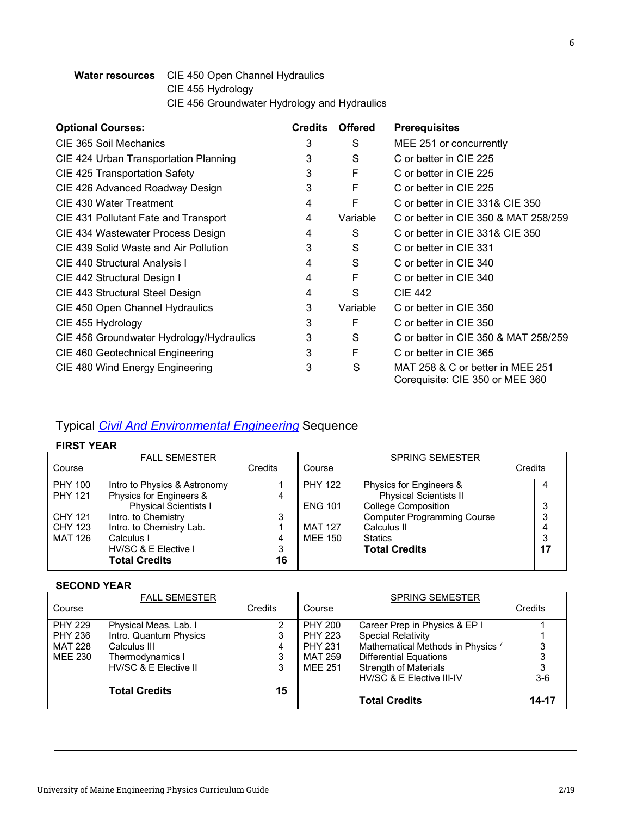## **Water resources** CIE 450 Open Channel Hydraulics CIE 455 Hydrology CIE 456 Groundwater Hydrology and Hydraulics

| <b>Optional Courses:</b>                 | <b>Credits</b> | <b>Offered</b> | <b>Prerequisites</b>                                                |
|------------------------------------------|----------------|----------------|---------------------------------------------------------------------|
| CIE 365 Soil Mechanics                   | 3              | S              | MEE 251 or concurrently                                             |
| CIE 424 Urban Transportation Planning    | 3              | S              | C or better in CIE 225                                              |
| CIE 425 Transportation Safety            | 3              | F              | C or better in CIE 225                                              |
| CIE 426 Advanced Roadway Design          | 3              | F              | C or better in CIE 225                                              |
| CIE 430 Water Treatment                  | 4              | F              | C or better in CIE 331& CIE 350                                     |
| CIE 431 Pollutant Fate and Transport     | 4              | Variable       | C or better in CIE 350 & MAT 258/259                                |
| CIE 434 Wastewater Process Design        | 4              | S              | C or better in CIE 331& CIE 350                                     |
| CIE 439 Solid Waste and Air Pollution    | 3              | S              | C or better in CIE 331                                              |
| CIE 440 Structural Analysis I            | 4              | S              | C or better in CIE 340                                              |
| CIE 442 Structural Design I              | 4              | F              | C or better in CIE 340                                              |
| CIE 443 Structural Steel Design          | 4              | S              | <b>CIE 442</b>                                                      |
| CIE 450 Open Channel Hydraulics          | 3              | Variable       | C or better in CIE 350                                              |
| CIE 455 Hydrology                        | 3              | F              | C or better in CIE 350                                              |
| CIE 456 Groundwater Hydrology/Hydraulics | 3              | S              | C or better in CIE 350 & MAT 258/259                                |
| CIE 460 Geotechnical Engineering         | 3              | F              | C or better in CIE 365                                              |
| CIE 480 Wind Energy Engineering          | 3              | S              | MAT 258 & C or better in MEE 251<br>Corequisite: CIE 350 or MEE 360 |

# Typical *Civil And Environmental Engineering* Sequence

## **FIRST YEAR**

|                | <b>FALL SEMESTER</b>         |         |                | <b>SPRING SEMESTER</b>             |         |
|----------------|------------------------------|---------|----------------|------------------------------------|---------|
| Course         |                              | Credits | Course         |                                    | Credits |
| <b>PHY 100</b> | Intro to Physics & Astronomy |         | <b>PHY 122</b> | Physics for Engineers &            | 4       |
| <b>PHY 121</b> | Physics for Engineers &      | 4       |                | <b>Physical Scientists II</b>      |         |
|                | <b>Physical Scientists I</b> |         | <b>ENG 101</b> | <b>College Composition</b>         | 3       |
| <b>CHY 121</b> | Intro. to Chemistry          | 3       |                | <b>Computer Programming Course</b> | 3       |
| <b>CHY 123</b> | Intro. to Chemistry Lab.     |         | <b>MAT 127</b> | Calculus II                        | 4       |
| <b>MAT 126</b> | Calculus I                   | 4       | <b>MEE 150</b> | <b>Statics</b>                     | 3       |
|                | HV/SC & E Elective I         | 3       |                | <b>Total Credits</b>               | 17      |
|                | <b>Total Credits</b>         | 16      |                |                                    |         |

## **SECOND YEAR**

|                | <b>FALL SEMESTER</b>   |         |                | <b>SPRING SEMESTER</b>                       |         |
|----------------|------------------------|---------|----------------|----------------------------------------------|---------|
| Course         |                        | Credits | Course         |                                              | Credits |
| <b>PHY 229</b> | Physical Meas. Lab. I  | 2       | PHY 200        | Career Prep in Physics & EP I                |         |
| <b>PHY 236</b> | Intro. Quantum Physics | 3       | <b>PHY 223</b> | <b>Special Relativity</b>                    |         |
| MAT 228        | Calculus III           | 4       | <b>PHY 231</b> | Mathematical Methods in Physics <sup>7</sup> |         |
| MEE 230        | Thermodynamics I       | 3       | MAT 259        | <b>Differential Equations</b>                | ົ       |
|                | HV/SC & E Elective II  | 3       | <b>MEE 251</b> | <b>Strength of Materials</b>                 |         |
|                |                        |         |                | HV/SC & E Elective III-IV                    | $3-6$   |
|                | <b>Total Credits</b>   | 15      |                |                                              |         |
|                |                        |         |                | <b>Total Credits</b>                         | 14-17   |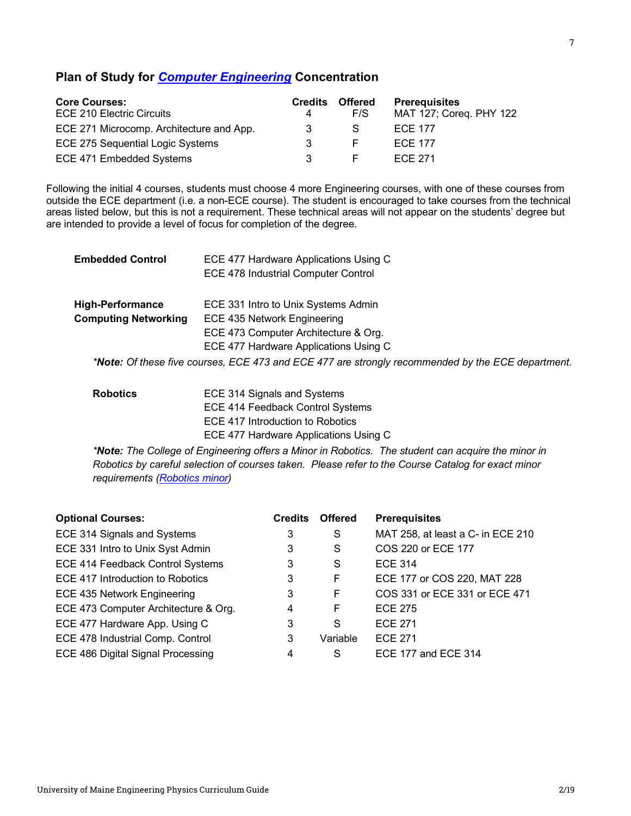## **Plan of Study for** *Computer Engineering* **Concentration**

| <b>Core Courses:</b>                     | <b>Credits</b> | <b>Offered</b> | <b>Prerequisites</b>    |
|------------------------------------------|----------------|----------------|-------------------------|
| ECE 210 Electric Circuits                |                | F/S            | MAT 127; Coreg. PHY 122 |
| ECE 271 Microcomp. Architecture and App. | ર              | S              | <b>ECE 177</b>          |
| ECE 275 Sequential Logic Systems         |                |                | <b>ECE 177</b>          |
| ECE 471 Embedded Systems                 |                |                | ECE 271                 |

Following the initial 4 courses, students must choose 4 more Engineering courses, with one of these courses from outside the ECE department (i.e. a non-ECE course). The student is encouraged to take courses from the technical areas listed below, but this is not a requirement. These technical areas will not appear on the students' degree but are intended to provide a level of focus for completion of the degree.

| <b>Embedded Control</b>     | ECE 477 Hardware Applications Using C                                                             |  |  |  |  |
|-----------------------------|---------------------------------------------------------------------------------------------------|--|--|--|--|
|                             | ECE 478 Industrial Computer Control                                                               |  |  |  |  |
| <b>High-Performance</b>     | ECE 331 Intro to Unix Systems Admin                                                               |  |  |  |  |
| <b>Computing Networking</b> | ECE 435 Network Engineering                                                                       |  |  |  |  |
|                             | ECE 473 Computer Architecture & Org.                                                              |  |  |  |  |
|                             | ECE 477 Hardware Applications Using C                                                             |  |  |  |  |
|                             | *Note: Of these five courses, ECE 473 and ECE 477 are strongly recommended by the ECE department. |  |  |  |  |
|                             |                                                                                                   |  |  |  |  |

| <b>Robotics</b> | ECE 314 Signals and Systems           |
|-----------------|---------------------------------------|
|                 | ECE 414 Feedback Control Systems      |
|                 | ECE 417 Introduction to Robotics      |
|                 | ECE 477 Hardware Applications Using C |

*\*Note: The College of Engineering offers a Minor in Robotics. The student can acquire the minor in Robotics by careful selection of courses taken. Please refer to the Course Catalog for exact minor requirements (Robotics minor)*

| <b>Optional Courses:</b>             | <b>Credits</b> | <b>Offered</b> | <b>Prerequisites</b>              |
|--------------------------------------|----------------|----------------|-----------------------------------|
| ECE 314 Signals and Systems          | 3              | S              | MAT 258, at least a C- in ECE 210 |
| ECE 331 Intro to Unix Syst Admin     | 3              | S              | COS 220 or ECE 177                |
| ECE 414 Feedback Control Systems     | 3              | S              | <b>ECE 314</b>                    |
| ECE 417 Introduction to Robotics     | 3              | F              | ECE 177 or COS 220, MAT 228       |
| ECE 435 Network Engineering          | 3              | F              | COS 331 or ECE 331 or ECE 471     |
| ECE 473 Computer Architecture & Org. | 4              | F              | <b>ECE 275</b>                    |
| ECE 477 Hardware App. Using C        | 3              | S              | <b>ECE 271</b>                    |
| ECE 478 Industrial Comp. Control     | 3              | Variable       | <b>ECE 271</b>                    |
| ECE 486 Digital Signal Processing    | 4              | S              | ECE 177 and ECE 314               |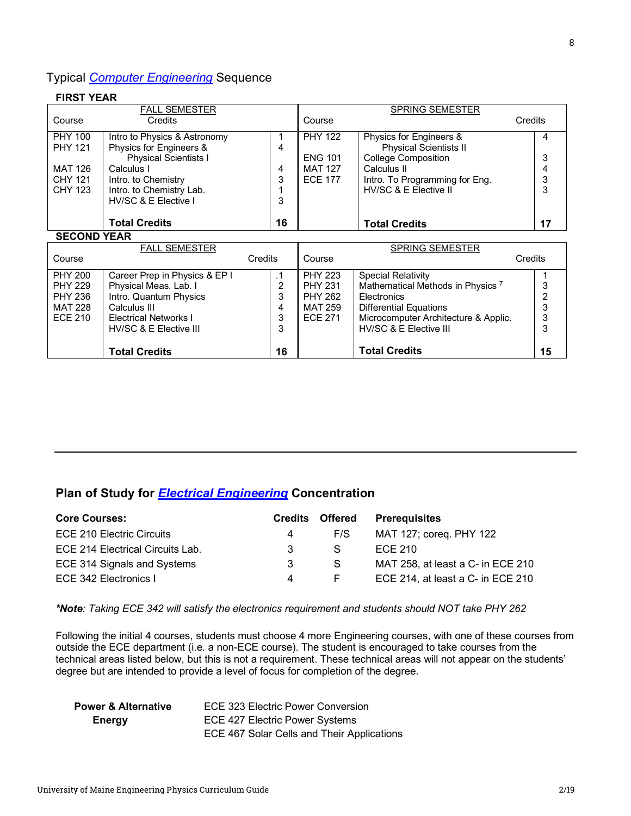## Typical *Computer Engineering* Sequence

#### **FIRST YEAR** FALL SEMESTER SPRING SEMESTER Course Credits Course Course Credits PHY 100 Intro to Physics & Astronomy PHY 122 Physics for Engineers & 4 1 PHY 121 Physics for Engineers & 4 Physical Scientists II Physical Scientists I ENG 101 College Composition 3 MAT 126 Calculus I 4 MAT 127 Calculus II 4 Intro. to Chemistry CHY 121 3 ECE 177 Intro. To Programming for Eng. 3 HV/SC & E Elective II CHY 123 Intro. to Chemistry Lab. 3 1 HV/SC & E Elective I 3 **16 Total Credits 17 Total Credits SECOND YEAR** FALL SEMESTER  $\overline{\mathsf{T}}$ SPRING SEMESTER Course Credits Course Credits PHY 200 Career Prep in Physics & EP I .1 PHY 223 Special Relativity 1

|                | <b>I ALL JLIVILJ I LIN</b>    |         |                | <b>OF INING OLIVILO LIN</b>                  |         |
|----------------|-------------------------------|---------|----------------|----------------------------------------------|---------|
| Course         |                               | Credits | Course         |                                              | Credits |
|                |                               |         |                |                                              |         |
| <b>PHY 200</b> | Career Prep in Physics & EP I | . 1     | <b>PHY 223</b> | <b>Special Relativity</b>                    |         |
| <b>PHY 229</b> | Physical Meas. Lab. I         | っ       | <b>PHY 231</b> | Mathematical Methods in Physics <sup>7</sup> |         |
| <b>PHY 236</b> | Intro. Quantum Physics        | 3       | <b>PHY 262</b> | Electronics                                  |         |
| <b>MAT 228</b> | Calculus III                  | 4       | MAT 259        | <b>Differential Equations</b>                |         |
| <b>ECE 210</b> | Electrical Networks I         | 3       | <b>ECE 271</b> | Microcomputer Architecture & Applic.         | ີ       |
|                | HV/SC & E Elective III        | 3       |                | HV/SC & E Elective III                       |         |
|                |                               |         |                |                                              |         |
|                | <b>Total Credits</b>          | 16      |                | <b>Total Credits</b>                         | 15      |

# **Plan of Study for** *Electrical Engineering* **Concentration**

| <b>Core Courses:</b>             | Credits | Offered | <b>Prerequisites</b>              |
|----------------------------------|---------|---------|-----------------------------------|
| ECE 210 Electric Circuits        | 4       | F/S     | MAT 127; coreg. PHY 122           |
| ECE 214 Electrical Circuits Lab. | 3       | S       | ECE 210                           |
| ECE 314 Signals and Systems      | 3       | S.      | MAT 258, at least a C- in ECE 210 |
| ECE 342 Electronics I            | 4       | F.      | ECE 214, at least a C- in ECE 210 |

#### *\*Note: Taking ECE 342 will satisfy the electronics requirement and students should NOT take PHY 262*

Following the initial 4 courses, students must choose 4 more Engineering courses, with one of these courses from outside the ECE department (i.e. a non-ECE course). The student is encouraged to take courses from the technical areas listed below, but this is not a requirement. These technical areas will not appear on the students' degree but are intended to provide a level of focus for completion of the degree.

| <b>Power &amp; Alternative</b> | <b>ECE 323 Electric Power Conversion</b>   |
|--------------------------------|--------------------------------------------|
| Energy                         | ECE 427 Electric Power Systems             |
|                                | ECE 467 Solar Cells and Their Applications |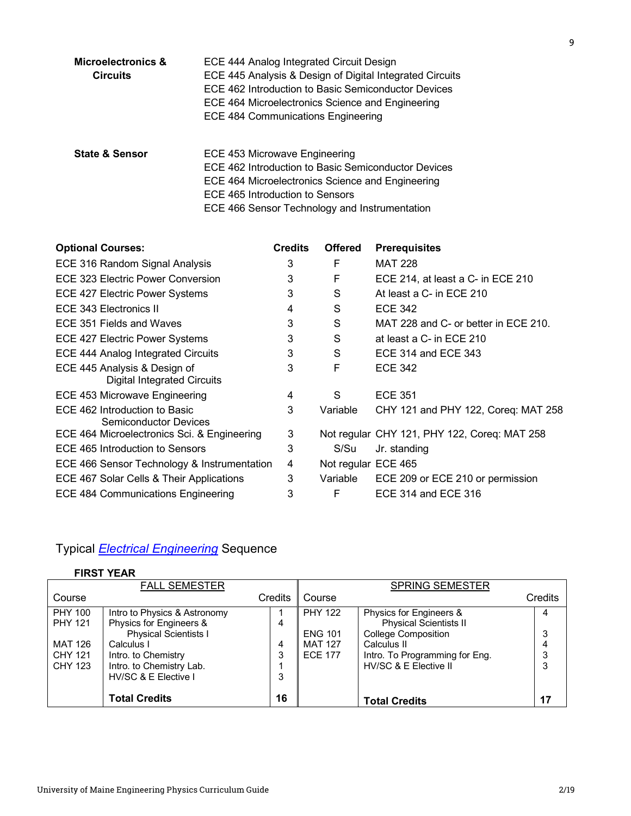| Microelectronics &<br><b>Circuits</b> | ECE 444 Analog Integrated Circuit Design<br>ECE 445 Analysis & Design of Digital Integrated Circuits<br>ECE 462 Introduction to Basic Semiconductor Devices<br>ECE 464 Microelectronics Science and Engineering<br><b>ECE 484 Communications Engineering</b> |
|---------------------------------------|--------------------------------------------------------------------------------------------------------------------------------------------------------------------------------------------------------------------------------------------------------------|
| <b>State &amp; Sensor</b>             | ECE 453 Microwave Engineering<br>ECE 462 Introduction to Basic Semiconductor Devices<br>ECE 464 Microelectronics Science and Engineering<br>ECE 465 Introduction to Sensors                                                                                  |

ECE 466 Sensor Technology and Instrumentation

| <b>Optional Courses:</b>                                           | <b>Credits</b> | <b>Offered</b>      | <b>Prerequisites</b>                         |
|--------------------------------------------------------------------|----------------|---------------------|----------------------------------------------|
| ECE 316 Random Signal Analysis                                     | 3              | F                   | <b>MAT 228</b>                               |
| ECE 323 Electric Power Conversion                                  | 3              | F                   | ECE 214, at least a C- in ECE 210            |
| <b>ECE 427 Electric Power Systems</b>                              | 3              | S                   | At least a C- in ECE 210                     |
| ECE 343 Electronics II                                             | 4              | S                   | <b>ECE 342</b>                               |
| ECE 351 Fields and Waves                                           | 3              | S                   | MAT 228 and C- or better in ECE 210.         |
| ECE 427 Electric Power Systems                                     | 3              | S                   | at least a C- in ECE 210                     |
| <b>ECE 444 Analog Integrated Circuits</b>                          | 3              | S                   | ECE 314 and ECE 343                          |
| ECE 445 Analysis & Design of<br><b>Digital Integrated Circuits</b> | 3              | F                   | <b>ECE 342</b>                               |
| ECE 453 Microwave Engineering                                      | 4              | S                   | <b>ECE 351</b>                               |
| ECE 462 Introduction to Basic<br><b>Semiconductor Devices</b>      | 3              | Variable            | CHY 121 and PHY 122, Coreq: MAT 258          |
| ECE 464 Microelectronics Sci. & Engineering                        | 3              |                     | Not regular CHY 121, PHY 122, Coreq: MAT 258 |
| ECE 465 Introduction to Sensors                                    | 3              | S/Su                | Jr. standing                                 |
| ECE 466 Sensor Technology & Instrumentation                        | 4              | Not regular ECE 465 |                                              |
| ECE 467 Solar Cells & Their Applications                           | 3              | Variable            | ECE 209 or ECE 210 or permission             |
| ECE 484 Communications Engineering                                 | 3              | F                   | ECE 314 and ECE 316                          |

# Typical *Electrical Engineering* Sequence

# **FIRST YEAR**

|                                  | <b>FALL SEMESTER</b>                                    |         |                | <b>SPRING SEMESTER</b>                                      |         |
|----------------------------------|---------------------------------------------------------|---------|----------------|-------------------------------------------------------------|---------|
| Course                           |                                                         | Credits | Course         |                                                             | Credits |
| <b>PHY 100</b><br><b>PHY 121</b> | Intro to Physics & Astronomy                            |         | <b>PHY 122</b> | Physics for Engineers &                                     | 4       |
|                                  | Physics for Engineers &<br><b>Physical Scientists I</b> | 4       | <b>ENG 101</b> | <b>Physical Scientists II</b><br><b>College Composition</b> |         |
| <b>MAT 126</b>                   | Calculus I                                              | 4       | <b>MAT 127</b> | Calculus II                                                 |         |
| CHY 121                          | Intro. to Chemistry                                     | 3       | <b>ECE 177</b> | Intro. To Programming for Eng.                              | 3       |
| CHY 123                          | Intro. to Chemistry Lab.                                |         |                | HV/SC & E Elective II                                       | 3       |
|                                  | HV/SC & E Elective I                                    | 3       |                |                                                             |         |
|                                  |                                                         |         |                |                                                             |         |
|                                  | <b>Total Credits</b>                                    | 16      |                | <b>Total Credits</b>                                        | 17      |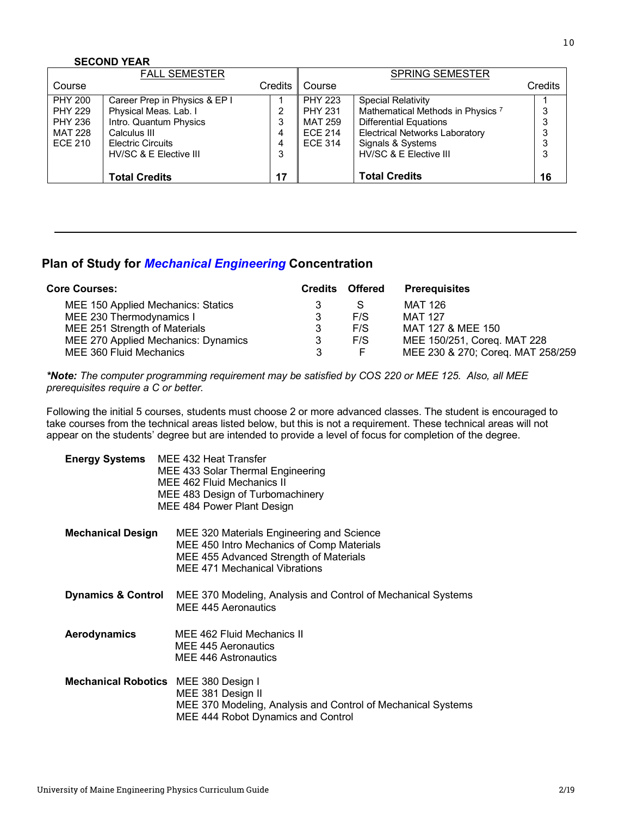#### **SECOND YEAR**

|                | <b>FALL SEMESTER</b>          |                |                | <b>SPRING SEMESTER</b>                       |         |
|----------------|-------------------------------|----------------|----------------|----------------------------------------------|---------|
| Course         |                               | <b>Credits</b> | Course         |                                              | Credits |
| <b>PHY 200</b> | Career Prep in Physics & EP I |                | <b>PHY 223</b> | <b>Special Relativity</b>                    |         |
| <b>PHY 229</b> | Physical Meas. Lab. I         | っ              | <b>PHY 231</b> | Mathematical Methods in Physics <sup>7</sup> | 3       |
| <b>PHY 236</b> | Intro. Quantum Physics        | 3              | MAT 259        | <b>Differential Equations</b>                | 3       |
| <b>MAT 228</b> | Calculus III                  | 4              | <b>ECE 214</b> | <b>Electrical Networks Laboratory</b>        | 3       |
| <b>ECE 210</b> | <b>Electric Circuits</b>      | 4              | <b>ECE 314</b> | Signals & Systems                            | 3       |
|                | HV/SC & E Elective III        | 3              |                | HV/SC & E Elective III                       | 3       |
|                |                               |                |                |                                              |         |
|                | <b>Total Credits</b>          | 17             |                | <b>Total Credits</b>                         | 16      |

# **Plan of Study for** *Mechanical Engineering* **Concentration**

| <b>Core Courses:</b>                |   | <b>Credits Offered</b> | <b>Prerequisites</b>              |
|-------------------------------------|---|------------------------|-----------------------------------|
| MEE 150 Applied Mechanics: Statics  |   | S                      | MAT 126                           |
| MEE 230 Thermodynamics I            |   | F/S                    | <b>MAT 127</b>                    |
| MEE 251 Strength of Materials       | 3 | F/S                    | MAT 127 & MEE 150                 |
| MEE 270 Applied Mechanics: Dynamics | 3 | F/S                    | MEE 150/251, Coreq. MAT 228       |
| MEE 360 Fluid Mechanics             | 3 |                        | MEE 230 & 270; Coreq. MAT 258/259 |

*\*Note: The computer programming requirement may be satisfied by COS 220 or MEE 125. Also, all MEE prerequisites require a C or better.*

Following the initial 5 courses, students must choose 2 or more advanced classes. The student is encouraged to take courses from the technical areas listed below, but this is not a requirement. These technical areas will not appear on the students' degree but are intended to provide a level of focus for completion of the degree.

| <b>Energy Systems</b><br>MEE 432 Heat Transfer<br>MEE 433 Solar Thermal Engineering<br>MEE 462 Fluid Mechanics II<br>MEE 483 Design of Turbomachinery<br>MEE 484 Power Plant Design |                                                                                                                                                                   |  |
|-------------------------------------------------------------------------------------------------------------------------------------------------------------------------------------|-------------------------------------------------------------------------------------------------------------------------------------------------------------------|--|
| <b>Mechanical Design</b>                                                                                                                                                            | MEE 320 Materials Engineering and Science<br>MEE 450 Intro Mechanics of Comp Materials<br>MEE 455 Advanced Strength of Materials<br>MEE 471 Mechanical Vibrations |  |
| <b>Dynamics &amp; Control</b>                                                                                                                                                       | MEE 370 Modeling, Analysis and Control of Mechanical Systems<br>MEE 445 Aeronautics                                                                               |  |
| Aerodynamics                                                                                                                                                                        | MEE 462 Fluid Mechanics II<br>MEE 445 Aeronautics<br>MEE 446 Astronautics                                                                                         |  |
| Mechanical Robotics MEE 380 Design I                                                                                                                                                | MEE 381 Design II<br>MEE 370 Modeling, Analysis and Control of Mechanical Systems<br>MEE 444 Robot Dynamics and Control                                           |  |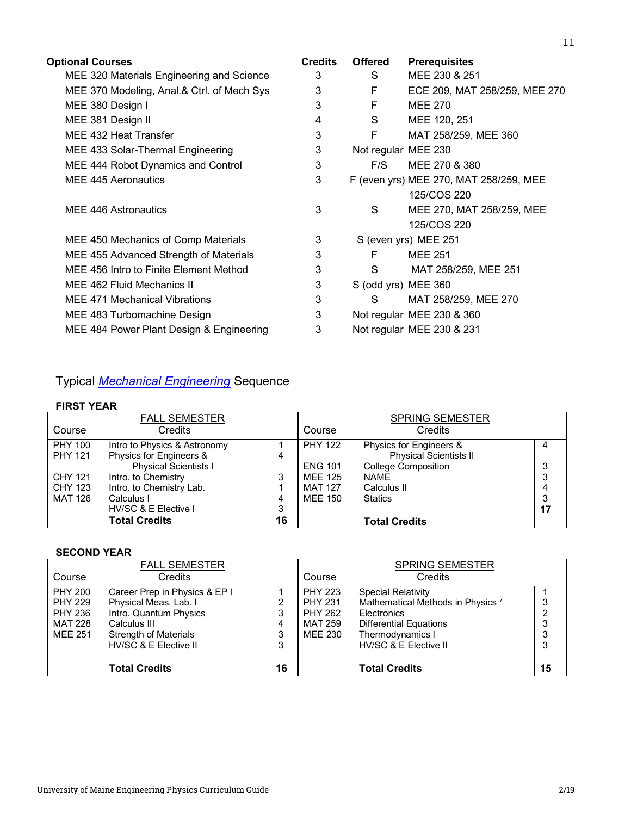| <b>Optional Courses</b>                    | <b>Credits</b> | <b>Offered</b>      | <b>Prerequisites</b>                   |
|--------------------------------------------|----------------|---------------------|----------------------------------------|
| MEE 320 Materials Engineering and Science  | 3              | S                   | MEE 230 & 251                          |
| MEE 370 Modeling, Anal.& Ctrl. of Mech Sys | 3              | F                   | ECE 209, MAT 258/259, MEE 270          |
| MEE 380 Design I                           | 3              | F                   | <b>MEE 270</b>                         |
| MEE 381 Design II                          | 4              | S                   | MEE 120, 251                           |
| MEE 432 Heat Transfer                      | 3              | F                   | MAT 258/259, MEE 360                   |
| MEE 433 Solar-Thermal Engineering          | 3              | Not regular MEE 230 |                                        |
| MEE 444 Robot Dynamics and Control         | 3              | F/S                 | MEE 270 & 380                          |
| MEE 445 Aeronautics                        | 3              |                     | F (even yrs) MEE 270, MAT 258/259, MEE |
|                                            |                |                     | 125/COS 220                            |
| MEE 446 Astronautics                       | 3              | S                   | MEE 270, MAT 258/259, MEE              |
|                                            |                |                     | 125/COS 220                            |
| MEE 450 Mechanics of Comp Materials        | 3              |                     | S (even yrs) MEE 251                   |
| MEE 455 Advanced Strength of Materials     | 3              | F                   | <b>MEE 251</b>                         |
| MEE 456 Intro to Finite Element Method     | 3              | S                   | MAT 258/259, MEE 251                   |
| MEE 462 Fluid Mechanics II                 | 3              | S (odd yrs) MEE 360 |                                        |
| MEE 471 Mechanical Vibrations              | 3              | S                   | MAT 258/259, MEE 270                   |
| MEE 483 Turbomachine Design                | 3              |                     | Not regular MEE 230 & 360              |
| MEE 484 Power Plant Design & Engineering   | 3              |                     | Not regular MEE 230 & 231              |

# Typical *Mechanical Engineering* Sequence

# **FIRST YEAR**

|                | <b>FALL SEMESTER</b>         |    |                | <b>SPRING SEMESTER</b>        |    |
|----------------|------------------------------|----|----------------|-------------------------------|----|
| Course         | Credits                      |    | Course         | Credits                       |    |
| <b>PHY 100</b> | Intro to Physics & Astronomy |    | <b>PHY 122</b> | Physics for Engineers &       |    |
| <b>PHY 121</b> | Physics for Engineers &      | 4  |                | <b>Physical Scientists II</b> |    |
|                | <b>Physical Scientists I</b> |    | <b>ENG 101</b> | <b>College Composition</b>    | 3  |
| <b>CHY 121</b> | Intro. to Chemistry          | 3  | <b>MEE 125</b> | <b>NAME</b>                   | 3  |
| <b>CHY 123</b> | Intro. to Chemistry Lab.     |    | <b>MAT 127</b> | Calculus II                   | 4  |
| MAT 126        | Calculus I                   | 4  | MEE 150        | <b>Statics</b>                | 3  |
|                | HV/SC & E Elective I         | 3  |                |                               | 17 |
|                | <b>Total Credits</b>         | 16 |                | <b>Total Credits</b>          |    |

# **SECOND YEAR**

|                | <b>FALL SEMESTER</b>          |    |                | <b>SPRING SEMESTER</b>                       |    |
|----------------|-------------------------------|----|----------------|----------------------------------------------|----|
| Course         | Credits                       |    | Course         | Credits                                      |    |
| <b>PHY 200</b> | Career Prep in Physics & EP I |    | <b>PHY 223</b> | <b>Special Relativity</b>                    |    |
| <b>PHY 229</b> | Physical Meas. Lab. I         | 2  | <b>PHY 231</b> | Mathematical Methods in Physics <sup>7</sup> | 3  |
| <b>PHY 236</b> | Intro. Quantum Physics        | 3  | <b>PHY 262</b> | Electronics                                  |    |
| MAT 228        | Calculus III                  | 4  | MAT 259        | <b>Differential Equations</b>                | 3  |
| <b>MEE 251</b> | <b>Strength of Materials</b>  | 3  | MEE 230        | Thermodynamics I                             |    |
|                | HV/SC & E Elective II         | 3  |                | HV/SC & E Elective II                        | 3  |
|                |                               |    |                |                                              |    |
|                | <b>Total Credits</b>          | 16 |                | <b>Total Credits</b>                         | 15 |